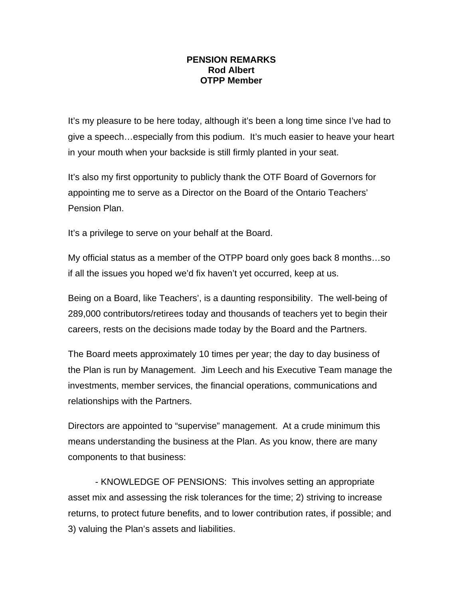## **PENSION REMARKS Rod Albert OTPP Member**

It's my pleasure to be here today, although it's been a long time since I've had to give a speech…especially from this podium. It's much easier to heave your heart in your mouth when your backside is still firmly planted in your seat.

It's also my first opportunity to publicly thank the OTF Board of Governors for appointing me to serve as a Director on the Board of the Ontario Teachers' Pension Plan.

It's a privilege to serve on your behalf at the Board.

My official status as a member of the OTPP board only goes back 8 months…so if all the issues you hoped we'd fix haven't yet occurred, keep at us.

Being on a Board, like Teachers', is a daunting responsibility. The well-being of 289,000 contributors/retirees today and thousands of teachers yet to begin their careers, rests on the decisions made today by the Board and the Partners.

The Board meets approximately 10 times per year; the day to day business of the Plan is run by Management. Jim Leech and his Executive Team manage the investments, member services, the financial operations, communications and relationships with the Partners.

Directors are appointed to "supervise" management. At a crude minimum this means understanding the business at the Plan. As you know, there are many components to that business:

 - KNOWLEDGE OF PENSIONS: This involves setting an appropriate asset mix and assessing the risk tolerances for the time; 2) striving to increase returns, to protect future benefits, and to lower contribution rates, if possible; and 3) valuing the Plan's assets and liabilities.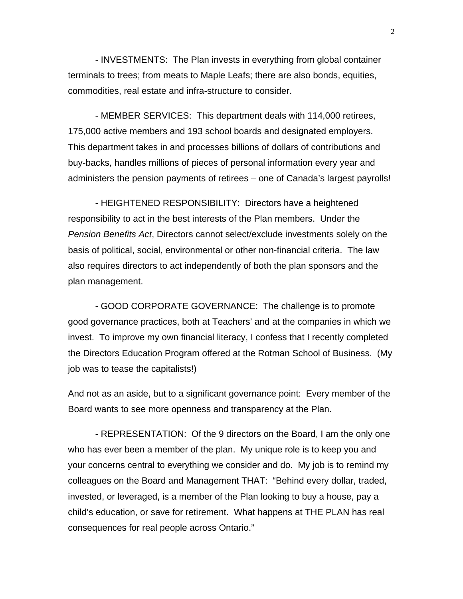- INVESTMENTS: The Plan invests in everything from global container terminals to trees; from meats to Maple Leafs; there are also bonds, equities, commodities, real estate and infra-structure to consider.

 - MEMBER SERVICES: This department deals with 114,000 retirees, 175,000 active members and 193 school boards and designated employers. This department takes in and processes billions of dollars of contributions and buy-backs, handles millions of pieces of personal information every year and administers the pension payments of retirees – one of Canada's largest payrolls!

 - HEIGHTENED RESPONSIBILITY: Directors have a heightened responsibility to act in the best interests of the Plan members. Under the *Pension Benefits Act*, Directors cannot select/exclude investments solely on the basis of political, social, environmental or other non-financial criteria. The law also requires directors to act independently of both the plan sponsors and the plan management.

 - GOOD CORPORATE GOVERNANCE: The challenge is to promote good governance practices, both at Teachers' and at the companies in which we invest. To improve my own financial literacy, I confess that I recently completed the Directors Education Program offered at the Rotman School of Business. (My job was to tease the capitalists!)

And not as an aside, but to a significant governance point: Every member of the Board wants to see more openness and transparency at the Plan.

 - REPRESENTATION: Of the 9 directors on the Board, I am the only one who has ever been a member of the plan. My unique role is to keep you and your concerns central to everything we consider and do. My job is to remind my colleagues on the Board and Management THAT: "Behind every dollar, traded, invested, or leveraged, is a member of the Plan looking to buy a house, pay a child's education, or save for retirement. What happens at THE PLAN has real consequences for real people across Ontario."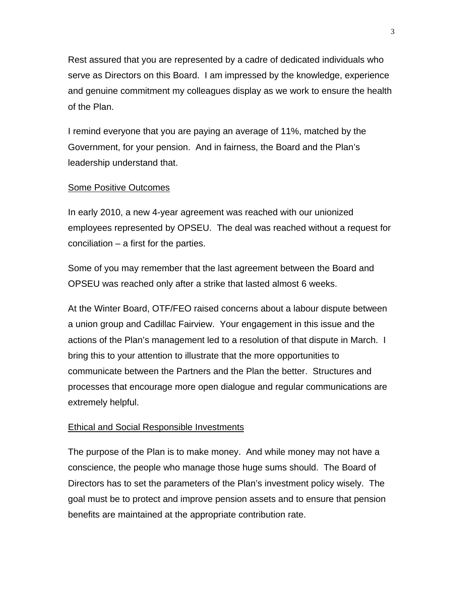Rest assured that you are represented by a cadre of dedicated individuals who serve as Directors on this Board. I am impressed by the knowledge, experience and genuine commitment my colleagues display as we work to ensure the health of the Plan.

I remind everyone that you are paying an average of 11%, matched by the Government, for your pension. And in fairness, the Board and the Plan's leadership understand that.

## Some Positive Outcomes

In early 2010, a new 4-year agreement was reached with our unionized employees represented by OPSEU. The deal was reached without a request for conciliation – a first for the parties.

Some of you may remember that the last agreement between the Board and OPSEU was reached only after a strike that lasted almost 6 weeks.

At the Winter Board, OTF/FEO raised concerns about a labour dispute between a union group and Cadillac Fairview. Your engagement in this issue and the actions of the Plan's management led to a resolution of that dispute in March. I bring this to your attention to illustrate that the more opportunities to communicate between the Partners and the Plan the better. Structures and processes that encourage more open dialogue and regular communications are extremely helpful.

## **Ethical and Social Responsible Investments**

The purpose of the Plan is to make money. And while money may not have a conscience, the people who manage those huge sums should. The Board of Directors has to set the parameters of the Plan's investment policy wisely. The goal must be to protect and improve pension assets and to ensure that pension benefits are maintained at the appropriate contribution rate.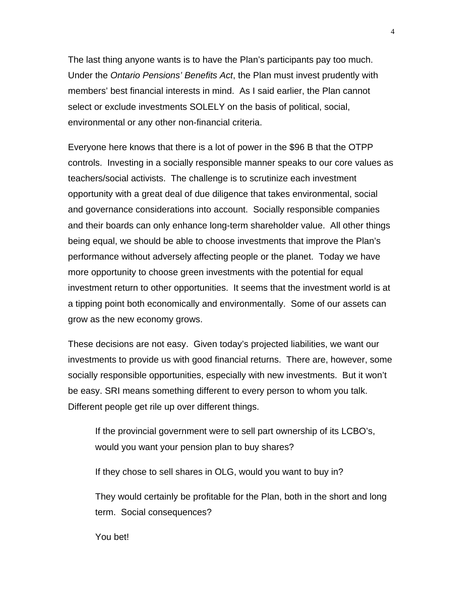The last thing anyone wants is to have the Plan's participants pay too much. Under the *Ontario Pensions' Benefits Act*, the Plan must invest prudently with members' best financial interests in mind. As I said earlier, the Plan cannot select or exclude investments SOLELY on the basis of political, social, environmental or any other non-financial criteria.

Everyone here knows that there is a lot of power in the \$96 B that the OTPP controls. Investing in a socially responsible manner speaks to our core values as teachers/social activists. The challenge is to scrutinize each investment opportunity with a great deal of due diligence that takes environmental, social and governance considerations into account. Socially responsible companies and their boards can only enhance long-term shareholder value. All other things being equal, we should be able to choose investments that improve the Plan's performance without adversely affecting people or the planet. Today we have more opportunity to choose green investments with the potential for equal investment return to other opportunities. It seems that the investment world is at a tipping point both economically and environmentally. Some of our assets can grow as the new economy grows.

These decisions are not easy. Given today's projected liabilities, we want our investments to provide us with good financial returns. There are, however, some socially responsible opportunities, especially with new investments. But it won't be easy. SRI means something different to every person to whom you talk. Different people get rile up over different things.

If the provincial government were to sell part ownership of its LCBO's, would you want your pension plan to buy shares?

If they chose to sell shares in OLG, would you want to buy in?

They would certainly be profitable for the Plan, both in the short and long term. Social consequences?

You bet!